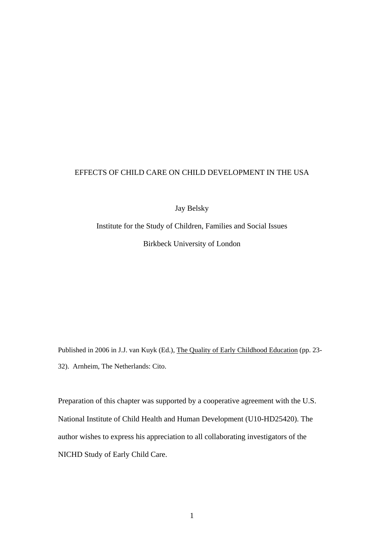# EFFECTS OF CHILD CARE ON CHILD DEVELOPMENT IN THE USA

Jay Belsky

Institute for the Study of Children, Families and Social Issues Birkbeck University of London

Published in 2006 in J.J. van Kuyk (Ed.), The Quality of Early Childhood Education (pp. 23- 32). Arnheim, The Netherlands: Cito.

Preparation of this chapter was supported by a cooperative agreement with the U.S. National Institute of Child Health and Human Development (U10-HD25420). The author wishes to express his appreciation to all collaborating investigators of the NICHD Study of Early Child Care.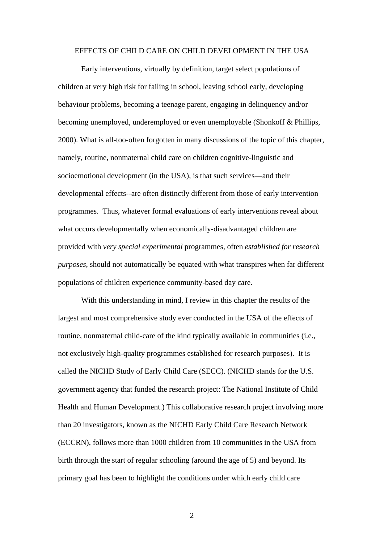#### EFFECTS OF CHILD CARE ON CHILD DEVELOPMENT IN THE USA

Early interventions, virtually by definition, target select populations of children at very high risk for failing in school, leaving school early, developing behaviour problems, becoming a teenage parent, engaging in delinquency and/or becoming unemployed, underemployed or even unemployable (Shonkoff & Phillips, 2000). What is all-too-often forgotten in many discussions of the topic of this chapter, namely, routine, nonmaternal child care on children cognitive-linguistic and socioemotional development (in the USA), is that such services—and their developmental effects--are often distinctly different from those of early intervention programmes. Thus, whatever formal evaluations of early interventions reveal about what occurs developmentally when economically-disadvantaged children are provided with *very special experimental* programmes, often *established for research purposes*, should not automatically be equated with what transpires when far different populations of children experience community-based day care.

With this understanding in mind, I review in this chapter the results of the largest and most comprehensive study ever conducted in the USA of the effects of routine, nonmaternal child-care of the kind typically available in communities (i.e., not exclusively high-quality programmes established for research purposes). It is called the NICHD Study of Early Child Care (SECC). (NICHD stands for the U.S. government agency that funded the research project: The National Institute of Child Health and Human Development.) This collaborative research project involving more than 20 investigators, known as the NICHD Early Child Care Research Network (ECCRN), follows more than 1000 children from 10 communities in the USA from birth through the start of regular schooling (around the age of 5) and beyond. Its primary goal has been to highlight the conditions under which early child care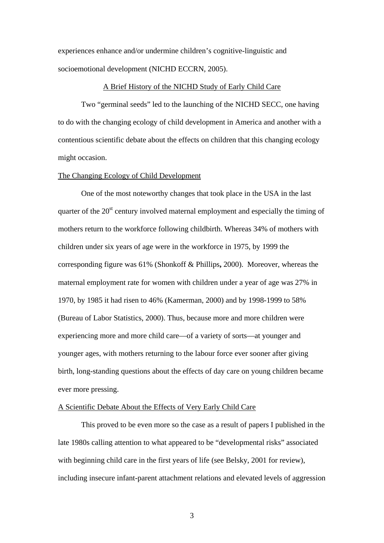experiences enhance and/or undermine children's cognitive-linguistic and socioemotional development (NICHD ECCRN, 2005).

#### A Brief History of the NICHD Study of Early Child Care

 Two "germinal seeds" led to the launching of the NICHD SECC, one having to do with the changing ecology of child development in America and another with a contentious scientific debate about the effects on children that this changing ecology might occasion.

### The Changing Ecology of Child Development

One of the most noteworthy changes that took place in the USA in the last quarter of the  $20<sup>st</sup>$  century involved maternal employment and especially the timing of mothers return to the workforce following childbirth. Whereas 34% of mothers with children under six years of age were in the workforce in 1975, by 1999 the corresponding figure was 61% (Shonkoff & Phillips**,** 2000). Moreover, whereas the maternal employment rate for women with children under a year of age was 27% in 1970, by 1985 it had risen to 46% (Kamerman, 2000) and by 1998-1999 to 58% (Bureau of Labor Statistics, 2000). Thus, because more and more children were experiencing more and more child care—of a variety of sorts—at younger and younger ages, with mothers returning to the labour force ever sooner after giving birth, long-standing questions about the effects of day care on young children became ever more pressing.

### A Scientific Debate About the Effects of Very Early Child Care

This proved to be even more so the case as a result of papers I published in the late 1980s calling attention to what appeared to be "developmental risks" associated with beginning child care in the first years of life (see Belsky, 2001 for review), including insecure infant-parent attachment relations and elevated levels of aggression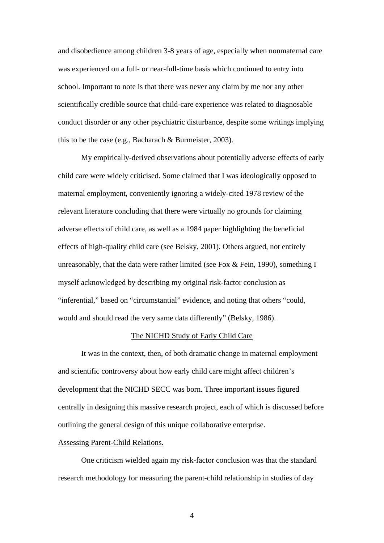and disobedience among children 3-8 years of age, especially when nonmaternal care was experienced on a full- or near-full-time basis which continued to entry into school. Important to note is that there was never any claim by me nor any other scientifically credible source that child-care experience was related to diagnosable conduct disorder or any other psychiatric disturbance, despite some writings implying this to be the case (e.g., Bacharach & Burmeister, 2003).

My empirically-derived observations about potentially adverse effects of early child care were widely criticised. Some claimed that I was ideologically opposed to maternal employment, conveniently ignoring a widely-cited 1978 review of the relevant literature concluding that there were virtually no grounds for claiming adverse effects of child care, as well as a 1984 paper highlighting the beneficial effects of high-quality child care (see Belsky, 2001). Others argued, not entirely unreasonably, that the data were rather limited (see Fox & Fein, 1990), something I myself acknowledged by describing my original risk-factor conclusion as "inferential," based on "circumstantial" evidence, and noting that others "could, would and should read the very same data differently" (Belsky, 1986).

## The NICHD Study of Early Child Care

It was in the context, then, of both dramatic change in maternal employment and scientific controversy about how early child care might affect children's development that the NICHD SECC was born. Three important issues figured centrally in designing this massive research project, each of which is discussed before outlining the general design of this unique collaborative enterprise.

# Assessing Parent-Child Relations.

One criticism wielded again my risk-factor conclusion was that the standard research methodology for measuring the parent-child relationship in studies of day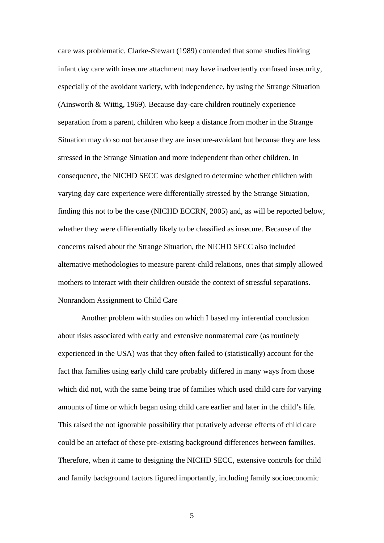care was problematic. Clarke-Stewart (1989) contended that some studies linking infant day care with insecure attachment may have inadvertently confused insecurity, especially of the avoidant variety, with independence, by using the Strange Situation (Ainsworth & Wittig, 1969). Because day-care children routinely experience separation from a parent, children who keep a distance from mother in the Strange Situation may do so not because they are insecure-avoidant but because they are less stressed in the Strange Situation and more independent than other children. In consequence, the NICHD SECC was designed to determine whether children with varying day care experience were differentially stressed by the Strange Situation, finding this not to be the case (NICHD ECCRN, 2005) and, as will be reported below, whether they were differentially likely to be classified as insecure. Because of the concerns raised about the Strange Situation, the NICHD SECC also included alternative methodologies to measure parent-child relations, ones that simply allowed mothers to interact with their children outside the context of stressful separations. Nonrandom Assignment to Child Care

Another problem with studies on which I based my inferential conclusion about risks associated with early and extensive nonmaternal care (as routinely experienced in the USA) was that they often failed to (statistically) account for the fact that families using early child care probably differed in many ways from those which did not, with the same being true of families which used child care for varying amounts of time or which began using child care earlier and later in the child's life. This raised the not ignorable possibility that putatively adverse effects of child care could be an artefact of these pre-existing background differences between families. Therefore, when it came to designing the NICHD SECC, extensive controls for child and family background factors figured importantly, including family socioeconomic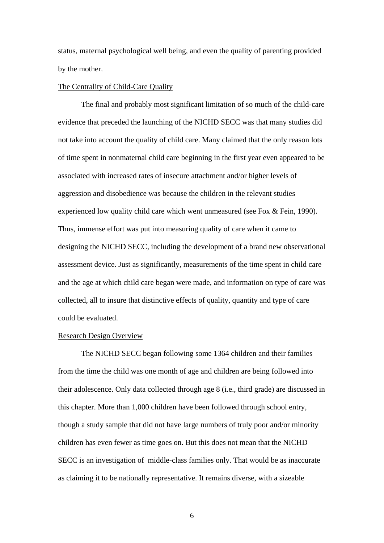status, maternal psychological well being, and even the quality of parenting provided by the mother.

#### The Centrality of Child-Care Quality

The final and probably most significant limitation of so much of the child-care evidence that preceded the launching of the NICHD SECC was that many studies did not take into account the quality of child care. Many claimed that the only reason lots of time spent in nonmaternal child care beginning in the first year even appeared to be associated with increased rates of insecure attachment and/or higher levels of aggression and disobedience was because the children in the relevant studies experienced low quality child care which went unmeasured (see Fox & Fein, 1990). Thus, immense effort was put into measuring quality of care when it came to designing the NICHD SECC, including the development of a brand new observational assessment device. Just as significantly, measurements of the time spent in child care and the age at which child care began were made, and information on type of care was collected, all to insure that distinctive effects of quality, quantity and type of care could be evaluated.

# Research Design Overview

 The NICHD SECC began following some 1364 children and their families from the time the child was one month of age and children are being followed into their adolescence. Only data collected through age 8 (i.e., third grade) are discussed in this chapter. More than 1,000 children have been followed through school entry, though a study sample that did not have large numbers of truly poor and/or minority children has even fewer as time goes on. But this does not mean that the NICHD SECC is an investigation of middle-class families only. That would be as inaccurate as claiming it to be nationally representative. It remains diverse, with a sizeable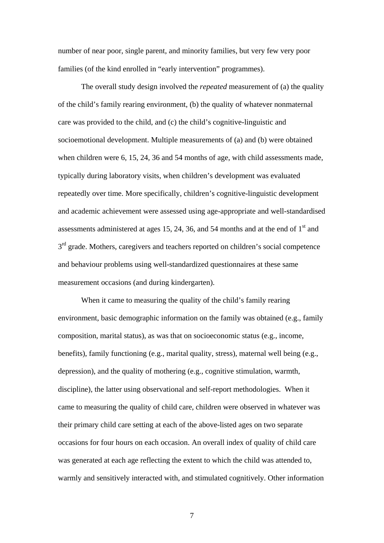number of near poor, single parent, and minority families, but very few very poor families (of the kind enrolled in "early intervention" programmes).

 The overall study design involved the *repeated* measurement of (a) the quality of the child's family rearing environment, (b) the quality of whatever nonmaternal care was provided to the child, and (c) the child's cognitive-linguistic and socioemotional development. Multiple measurements of (a) and (b) were obtained when children were 6, 15, 24, 36 and 54 months of age, with child assessments made, typically during laboratory visits, when children's development was evaluated repeatedly over time. More specifically, children's cognitive-linguistic development and academic achievement were assessed using age-appropriate and well-standardised assessments administered at ages 15, 24, 36, and 54 months and at the end of  $1<sup>st</sup>$  and  $3<sup>rd</sup>$  grade. Mothers, caregivers and teachers reported on children's social competence and behaviour problems using well-standardized questionnaires at these same measurement occasions (and during kindergarten).

When it came to measuring the quality of the child's family rearing environment, basic demographic information on the family was obtained (e.g., family composition, marital status), as was that on socioeconomic status (e.g., income, benefits), family functioning (e.g., marital quality, stress), maternal well being (e.g., depression), and the quality of mothering (e.g., cognitive stimulation, warmth, discipline), the latter using observational and self-report methodologies. When it came to measuring the quality of child care, children were observed in whatever was their primary child care setting at each of the above-listed ages on two separate occasions for four hours on each occasion. An overall index of quality of child care was generated at each age reflecting the extent to which the child was attended to, warmly and sensitively interacted with, and stimulated cognitively. Other information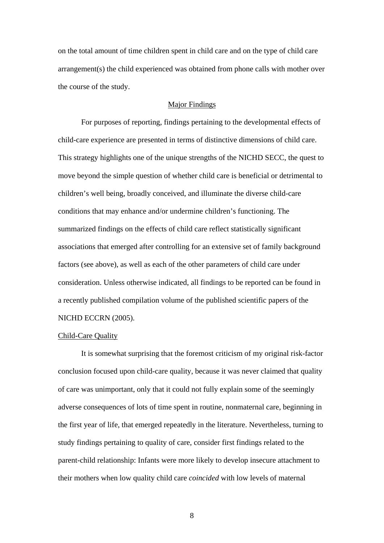on the total amount of time children spent in child care and on the type of child care arrangement(s) the child experienced was obtained from phone calls with mother over the course of the study.

## Major Findings

 For purposes of reporting, findings pertaining to the developmental effects of child-care experience are presented in terms of distinctive dimensions of child care. This strategy highlights one of the unique strengths of the NICHD SECC, the quest to move beyond the simple question of whether child care is beneficial or detrimental to children's well being, broadly conceived, and illuminate the diverse child-care conditions that may enhance and/or undermine children's functioning. The summarized findings on the effects of child care reflect statistically significant associations that emerged after controlling for an extensive set of family background factors (see above), as well as each of the other parameters of child care under consideration. Unless otherwise indicated, all findings to be reported can be found in a recently published compilation volume of the published scientific papers of the NICHD ECCRN (2005).

## Child-Care Quality

 It is somewhat surprising that the foremost criticism of my original risk-factor conclusion focused upon child-care quality, because it was never claimed that quality of care was unimportant, only that it could not fully explain some of the seemingly adverse consequences of lots of time spent in routine, nonmaternal care, beginning in the first year of life, that emerged repeatedly in the literature. Nevertheless, turning to study findings pertaining to quality of care, consider first findings related to the parent-child relationship: Infants were more likely to develop insecure attachment to their mothers when low quality child care *coincided* with low levels of maternal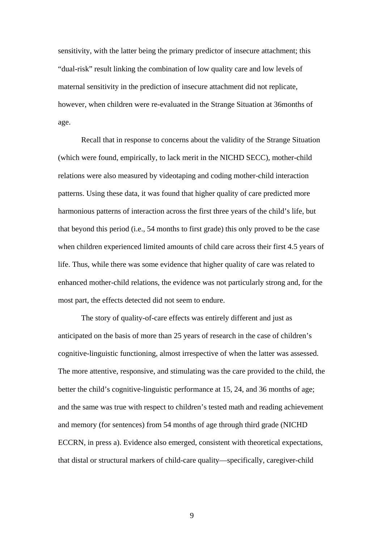sensitivity, with the latter being the primary predictor of insecure attachment; this "dual-risk" result linking the combination of low quality care and low levels of maternal sensitivity in the prediction of insecure attachment did not replicate, however, when children were re-evaluated in the Strange Situation at 36months of age.

Recall that in response to concerns about the validity of the Strange Situation (which were found, empirically, to lack merit in the NICHD SECC), mother-child relations were also measured by videotaping and coding mother-child interaction patterns. Using these data, it was found that higher quality of care predicted more harmonious patterns of interaction across the first three years of the child's life, but that beyond this period (i.e., 54 months to first grade) this only proved to be the case when children experienced limited amounts of child care across their first 4.5 years of life. Thus, while there was some evidence that higher quality of care was related to enhanced mother-child relations, the evidence was not particularly strong and, for the most part, the effects detected did not seem to endure.

The story of quality-of-care effects was entirely different and just as anticipated on the basis of more than 25 years of research in the case of children's cognitive-linguistic functioning, almost irrespective of when the latter was assessed. The more attentive, responsive, and stimulating was the care provided to the child, the better the child's cognitive-linguistic performance at 15, 24, and 36 months of age; and the same was true with respect to children's tested math and reading achievement and memory (for sentences) from 54 months of age through third grade (NICHD ECCRN, in press a). Evidence also emerged, consistent with theoretical expectations, that distal or structural markers of child-care quality—specifically, caregiver-child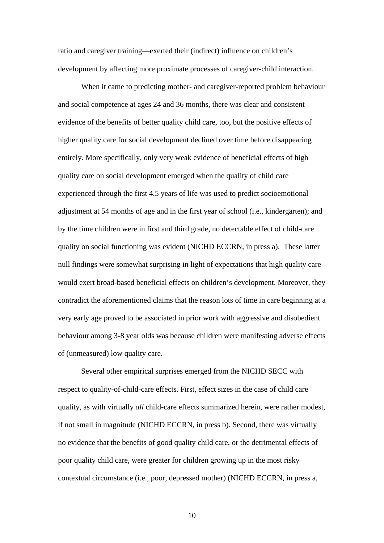ratio and caregiver training—exerted their (indirect) influence on children's development by affecting more proximate processes of caregiver-child interaction.

When it came to predicting mother- and caregiver-reported problem behaviour and social competence at ages 24 and 36 months, there was clear and consistent evidence of the benefits of better quality child care, too, but the positive effects of higher quality care for social development declined over time before disappearing entirely. More specifically, only very weak evidence of beneficial effects of high quality care on social development emerged when the quality of child care experienced through the first 4.5 years of life was used to predict socioemotional adjustment at 54 months of age and in the first year of school (i.e., kindergarten); and by the time children were in first and third grade, no detectable effect of child-care quality on social functioning was evident (NICHD ECCRN, in press a). These latter null findings were somewhat surprising in light of expectations that high quality care would exert broad-based beneficial effects on children's development. Moreover, they contradict the aforementioned claims that the reason lots of time in care beginning at a very early age proved to be associated in prior work with aggressive and disobedient behaviour among 3-8 year olds was because children were manifesting adverse effects of (unmeasured) low quality care.

Several other empirical surprises emerged from the NICHD SECC with respect to quality-of-child-care effects. First, effect sizes in the case of child care quality, as with virtually *all* child-care effects summarized herein, were rather modest, if not small in magnitude (NICHD ECCRN, in press b). Second, there was virtually no evidence that the benefits of good quality child care, or the detrimental effects of poor quality child care, were greater for children growing up in the most risky contextual circumstance (i.e., poor, depressed mother) (NICHD ECCRN, in press a,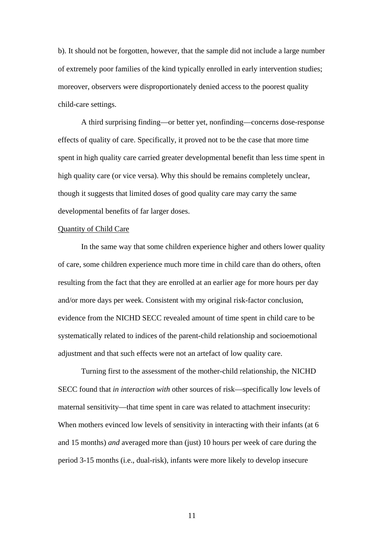b). It should not be forgotten, however, that the sample did not include a large number of extremely poor families of the kind typically enrolled in early intervention studies; moreover, observers were disproportionately denied access to the poorest quality child-care settings.

A third surprising finding—or better yet, nonfinding—concerns dose-response effects of quality of care. Specifically, it proved not to be the case that more time spent in high quality care carried greater developmental benefit than less time spent in high quality care (or vice versa). Why this should be remains completely unclear, though it suggests that limited doses of good quality care may carry the same developmental benefits of far larger doses.

# Quantity of Child Care

 In the same way that some children experience higher and others lower quality of care, some children experience much more time in child care than do others, often resulting from the fact that they are enrolled at an earlier age for more hours per day and/or more days per week. Consistent with my original risk-factor conclusion, evidence from the NICHD SECC revealed amount of time spent in child care to be systematically related to indices of the parent-child relationship and socioemotional adjustment and that such effects were not an artefact of low quality care.

Turning first to the assessment of the mother-child relationship, the NICHD SECC found that *in interaction with* other sources of risk—specifically low levels of maternal sensitivity—that time spent in care was related to attachment insecurity: When mothers evinced low levels of sensitivity in interacting with their infants (at 6) and 15 months) *and* averaged more than (just) 10 hours per week of care during the period 3-15 months (i.e., dual-risk), infants were more likely to develop insecure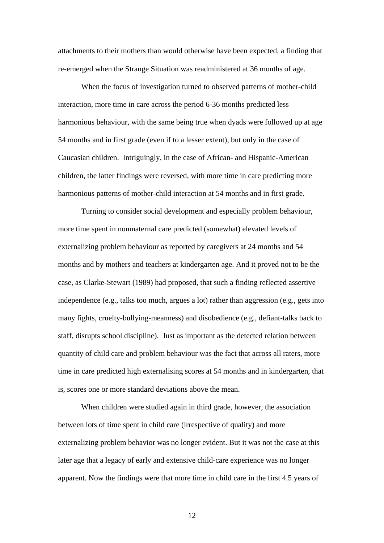attachments to their mothers than would otherwise have been expected, a finding that re-emerged when the Strange Situation was readministered at 36 months of age.

When the focus of investigation turned to observed patterns of mother-child interaction, more time in care across the period 6-36 months predicted less harmonious behaviour, with the same being true when dyads were followed up at age 54 months and in first grade (even if to a lesser extent), but only in the case of Caucasian children. Intriguingly, in the case of African- and Hispanic-American children, the latter findings were reversed, with more time in care predicting more harmonious patterns of mother-child interaction at 54 months and in first grade.

Turning to consider social development and especially problem behaviour, more time spent in nonmaternal care predicted (somewhat) elevated levels of externalizing problem behaviour as reported by caregivers at 24 months and 54 months and by mothers and teachers at kindergarten age. And it proved not to be the case, as Clarke-Stewart (1989) had proposed, that such a finding reflected assertive independence (e.g., talks too much, argues a lot) rather than aggression (e.g., gets into many fights, cruelty-bullying-meanness) and disobedience (e.g., defiant-talks back to staff, disrupts school discipline). Just as important as the detected relation between quantity of child care and problem behaviour was the fact that across all raters, more time in care predicted high externalising scores at 54 months and in kindergarten, that is, scores one or more standard deviations above the mean.

When children were studied again in third grade, however, the association between lots of time spent in child care (irrespective of quality) and more externalizing problem behavior was no longer evident. But it was not the case at this later age that a legacy of early and extensive child-care experience was no longer apparent. Now the findings were that more time in child care in the first 4.5 years of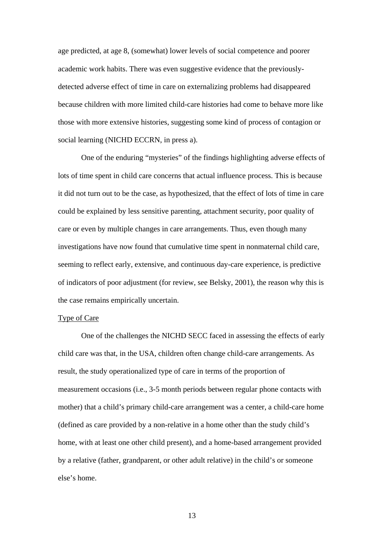age predicted, at age 8, (somewhat) lower levels of social competence and poorer academic work habits. There was even suggestive evidence that the previouslydetected adverse effect of time in care on externalizing problems had disappeared because children with more limited child-care histories had come to behave more like those with more extensive histories, suggesting some kind of process of contagion or social learning (NICHD ECCRN, in press a).

One of the enduring "mysteries" of the findings highlighting adverse effects of lots of time spent in child care concerns that actual influence process. This is because it did not turn out to be the case, as hypothesized, that the effect of lots of time in care could be explained by less sensitive parenting, attachment security, poor quality of care or even by multiple changes in care arrangements. Thus, even though many investigations have now found that cumulative time spent in nonmaternal child care, seeming to reflect early, extensive, and continuous day-care experience, is predictive of indicators of poor adjustment (for review, see Belsky, 2001), the reason why this is the case remains empirically uncertain.

### Type of Care

 One of the challenges the NICHD SECC faced in assessing the effects of early child care was that, in the USA, children often change child-care arrangements. As result, the study operationalized type of care in terms of the proportion of measurement occasions (i.e., 3-5 month periods between regular phone contacts with mother) that a child's primary child-care arrangement was a center, a child-care home (defined as care provided by a non-relative in a home other than the study child's home, with at least one other child present), and a home-based arrangement provided by a relative (father, grandparent, or other adult relative) in the child's or someone else's home.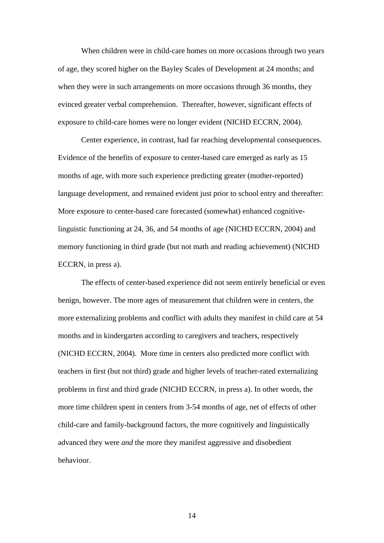When children were in child-care homes on more occasions through two years of age, they scored higher on the Bayley Scales of Development at 24 months; and when they were in such arrangements on more occasions through 36 months, they evinced greater verbal comprehension. Thereafter, however, significant effects of exposure to child-care homes were no longer evident (NICHD ECCRN, 2004).

Center experience, in contrast, had far reaching developmental consequences. Evidence of the benefits of exposure to center-based care emerged as early as 15 months of age, with more such experience predicting greater (mother-reported) language development, and remained evident just prior to school entry and thereafter: More exposure to center-based care forecasted (somewhat) enhanced cognitivelinguistic functioning at 24, 36, and 54 months of age (NICHD ECCRN, 2004) and memory functioning in third grade (but not math and reading achievement) (NICHD ECCRN, in press a).

 The effects of center-based experience did not seem entirely beneficial or even benign, however. The more ages of measurement that children were in centers, the more externalizing problems and conflict with adults they manifest in child care at 54 months and in kindergarten according to caregivers and teachers, respectively (NICHD ECCRN, 2004). More time in centers also predicted more conflict with teachers in first (but not third) grade and higher levels of teacher-rated externalizing problems in first and third grade (NICHD ECCRN, in press a). In other words, the more time children spent in centers from 3-54 months of age, net of effects of other child-care and family-background factors, the more cognitively and linguistically advanced they were *and* the more they manifest aggressive and disobedient behaviour.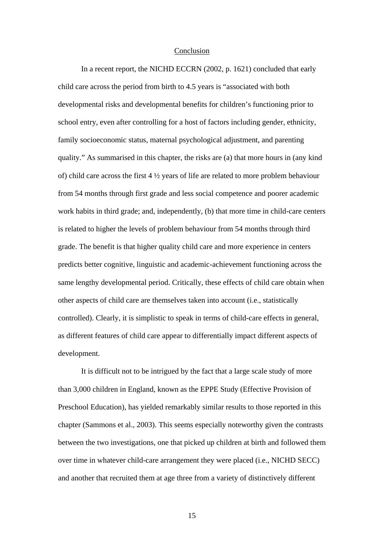### Conclusion

In a recent report, the NICHD ECCRN (2002, p. 1621) concluded that early child care across the period from birth to 4.5 years is "associated with both developmental risks and developmental benefits for children's functioning prior to school entry, even after controlling for a host of factors including gender, ethnicity, family socioeconomic status, maternal psychological adjustment, and parenting quality." As summarised in this chapter, the risks are (a) that more hours in (any kind of) child care across the first 4 ½ years of life are related to more problem behaviour from 54 months through first grade and less social competence and poorer academic work habits in third grade; and, independently, (b) that more time in child-care centers is related to higher the levels of problem behaviour from 54 months through third grade. The benefit is that higher quality child care and more experience in centers predicts better cognitive, linguistic and academic-achievement functioning across the same lengthy developmental period. Critically, these effects of child care obtain when other aspects of child care are themselves taken into account (i.e., statistically controlled). Clearly, it is simplistic to speak in terms of child-care effects in general, as different features of child care appear to differentially impact different aspects of development.

It is difficult not to be intrigued by the fact that a large scale study of more than 3,000 children in England, known as the EPPE Study (Effective Provision of Preschool Education), has yielded remarkably similar results to those reported in this chapter (Sammons et al., 2003). This seems especially noteworthy given the contrasts between the two investigations, one that picked up children at birth and followed them over time in whatever child-care arrangement they were placed (i.e., NICHD SECC) and another that recruited them at age three from a variety of distinctively different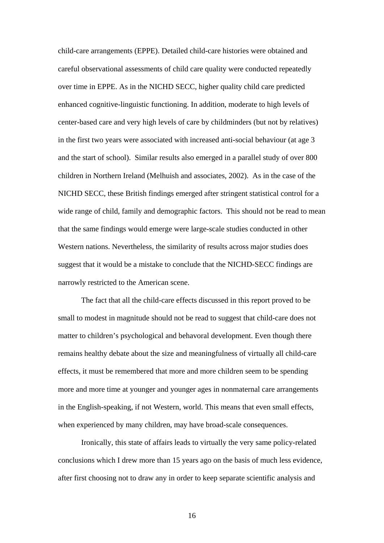child-care arrangements (EPPE). Detailed child-care histories were obtained and careful observational assessments of child care quality were conducted repeatedly over time in EPPE. As in the NICHD SECC, higher quality child care predicted enhanced cognitive-linguistic functioning. In addition, moderate to high levels of center-based care and very high levels of care by childminders (but not by relatives) in the first two years were associated with increased anti-social behaviour (at age 3 and the start of school). Similar results also emerged in a parallel study of over 800 children in Northern Ireland (Melhuish and associates, 2002). As in the case of the NICHD SECC, these British findings emerged after stringent statistical control for a wide range of child, family and demographic factors. This should not be read to mean that the same findings would emerge were large-scale studies conducted in other Western nations. Nevertheless, the similarity of results across major studies does suggest that it would be a mistake to conclude that the NICHD-SECC findings are narrowly restricted to the American scene.

The fact that all the child-care effects discussed in this report proved to be small to modest in magnitude should not be read to suggest that child-care does not matter to children's psychological and behavoral development. Even though there remains healthy debate about the size and meaningfulness of virtually all child-care effects, it must be remembered that more and more children seem to be spending more and more time at younger and younger ages in nonmaternal care arrangements in the English-speaking, if not Western, world. This means that even small effects, when experienced by many children, may have broad-scale consequences.

Ironically, this state of affairs leads to virtually the very same policy-related conclusions which I drew more than 15 years ago on the basis of much less evidence, after first choosing not to draw any in order to keep separate scientific analysis and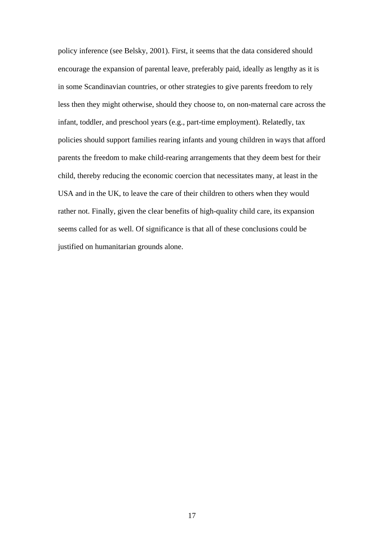policy inference (see Belsky, 2001). First, it seems that the data considered should encourage the expansion of parental leave, preferably paid, ideally as lengthy as it is in some Scandinavian countries, or other strategies to give parents freedom to rely less then they might otherwise, should they choose to, on non-maternal care across the infant, toddler, and preschool years (e.g., part-time employment). Relatedly, tax policies should support families rearing infants and young children in ways that afford parents the freedom to make child-rearing arrangements that they deem best for their child, thereby reducing the economic coercion that necessitates many, at least in the USA and in the UK, to leave the care of their children to others when they would rather not. Finally, given the clear benefits of high-quality child care, its expansion seems called for as well. Of significance is that all of these conclusions could be justified on humanitarian grounds alone.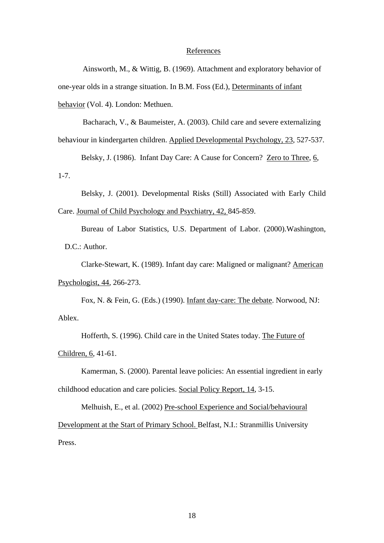### References

 Ainsworth, M., & Wittig, B. (1969). Attachment and exploratory behavior of one-year olds in a strange situation. In B.M. Foss (Ed.), Determinants of infant behavior (Vol. 4). London: Methuen.

Bacharach, V., & Baumeister, A. (2003). Child care and severe externalizing

behaviour in kindergarten children. Applied Developmental Psychology, 23, 527-537.

Belsky, J. (1986). Infant Day Care: A Cause for Concern? Zero to Three, 6, 1-7.

 Belsky, J. (2001). Developmental Risks (Still) Associated with Early Child Care. Journal of Child Psychology and Psychiatry, 42, 845-859.

 Bureau of Labor Statistics, U.S. Department of Labor. (2000).Washington, D.C.: Author.

Clarke-Stewart, K. (1989). Infant day care: Maligned or malignant? American Psychologist, 44*,* 266-273.

Fox, N. & Fein, G. (Eds.) (1990). Infant day-care: The debate. Norwood, NJ: Ablex.

Hofferth, S. (1996). Child care in the United States today. The Future of Children, 6, 41-61.

Kamerman, S. (2000). Parental leave policies: An essential ingredient in early childhood education and care policies. Social Policy Report, 14, 3-15.

Melhuish, E., et al. (2002) Pre-school Experience and Social/behavioural Development at the Start of Primary School. Belfast*,* N.I.: Stranmillis University Press.